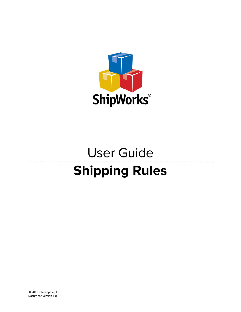

### User Guide --------------------------**Shipping Rules**

© 2015 Interapptive, Inc. Document Version 1.0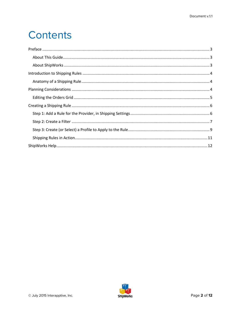## Contents

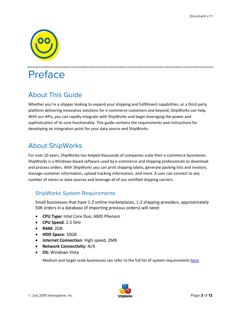

### <span id="page-2-0"></span>Preface

#### <span id="page-2-1"></span>About This Guide

Whether you're a shipper looking to expand your shipping and fulfillment capabilities, or a third party platform delivering innovative solutions for e-commerce customers and beyond, ShipWorks can help. With our APIs, you can rapidly integrate with ShipWorks and begin leveraging the power and sophistication of its core functionality. This guide contains the requirements and instructions for developing an integration point for your data source and ShipWorks.

#### <span id="page-2-2"></span>About ShipWorks

For over 10 years, ShipWorks has helped thousands of companies scale their e-commerce businesses. ShipWorks is a Windows-based software used by e-commerce and shipping professionals to download and process orders. With ShipWorks you can print shipping labels, generate packing lists and invoices, manage customer information, upload tracking information, and more. A user can connect to any number of stores or data sources and leverage all of our certified shipping carriers.

#### ShipWorks System Requirements

Small businesses that have 1-2 online marketplaces, 1-2 shipping providers, approximately 50K orders in a database (if importing previous orders) will need:

- **CPU Type:** Intel Core Duo, AMD Phenom
- **CPU Speed**: 2.5 GHz
- **RAM:** 2GB
- **HDD Space**: 10GB
- **Internet Connection**: High speed, 2MB
- **Network Connectivity**: N/A
- **OS:** Windows Vista

Medium and larger scale businesses can refer to the full list of system requirements [here.](http://support.shipworks.com/support/solutions/articles/129255)

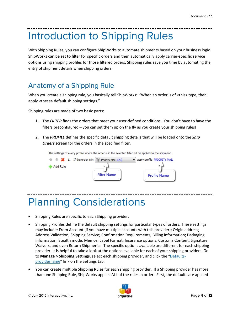## <span id="page-3-0"></span>Introduction to Shipping Rules

With Shipping Rules, you can configure ShipWorks to automate shipments based on your business logic. ShipWorks can be set to filter for specific orders and then automatically apply carrier-specific service options using shipping profiles for those filtered orders. Shipping rules save you time by automating the entry of shipment details when shipping orders.

### <span id="page-3-1"></span>Anatomy of a Shipping Rule

When you create a shipping rule, you basically tell ShipWorks: "When an order is of <this> type, then apply <these> default shipping settings."

Shipping rules are made of two basic parts:

- 1. The *FILTER* finds the orders that meet your user-defined conditions. You don't have to have the filters preconfigured – you can set them up on the fly as you create your shipping rules!
- 2. The *PROFILE* defines the specific default shipping details that will be loaded onto the *Ship Orders* screen for the orders in the specified filter.



# <span id="page-3-2"></span>Planning Considerations

- Shipping Rules are specific to each Shipping provider.
- Shipping Profiles define the default shipping settings for particular types of orders. These settings may include: From Account (if you have multiple accounts with this provider); Origin address; Address Validation; Shipping Service; Confirmation Requirements; Billing information; Packaging information; Stealth mode; Memos; Label Format; Insurance options; Customs Content; Signature Waivers, and even Return Shipments. The specific options available are different for each shipping provider. It is helpful to take a look at the options available for each of your shipping providers. Go to **Manage > Shipping Settings**, select each shipping provider, and click the "Defaultsprovidername" link on the Settings tab.
- You can create multiple Shipping Rules for each shipping provider. If a Shipping provider has more than one Shipping Rule, ShipWorks applies ALL of the rules in order. First, the defaults are applied

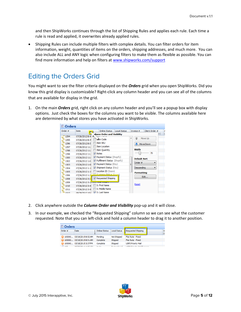and then ShipWorks continues through the list of Shipping Rules and applies each rule. Each time a rule is read and applied, it overwrites already applied rules.

• Shipping Rules can include multiple filters with complex details. You can filter orders for item information, weight, quantities of items on the orders, shipping addresses, and much more. You can also include ALL and ANY logic when configuring filters to make them as flexible as possible. You can find more information and help on filters at [www.shipworks.com/support](http://www.shipworks.com/support)

#### <span id="page-4-0"></span>Editing the Orders Grid

You might want to see the filter criteria displayed on the *Orders* grid when you open ShipWorks. Did you know this grid display is customizable? Right-click any column header and you can see all of the columns that are available for display in the grid.

1. On the main *Orders* grid, right click on any column header and you'll see a popup box with display options. Just check the boxes for the columns you want to be visible. The columns available here are determined by what stores you have activated in ShipWorks.

| Orders<br>E |                 |                               |                     |   |                     |                |    |
|-------------|-----------------|-------------------------------|---------------------|---|---------------------|----------------|----|
| Order #     | Date            | <b>Online Status</b>          | <b>Local Status</b> |   | Invoice #           | Client Order # | Ι  |
|             |                 | olumn Order and Visibility    |                     |   |                     |                | br |
| 1294        | 07/26/2012 8:4  |                               |                     | ▲ |                     | Move Up        |    |
| 1295        | 07/26/2012 8:4  | <b>Leem Code</b>              |                     |   |                     |                |    |
| 1296        | 07/26/2012 8:5  | <b>Item SKU</b>               |                     |   |                     | Move Down      |    |
| 1297        | 07/26/2012 11:  | <b>Item Location</b>          |                     |   |                     |                |    |
| 1298        | 07/26/2012 11:  | <b>Item Quantity</b>          |                     |   | Width               |                |    |
| 1299        | 07/26/2012 11:  | V Notes                       |                     |   |                     | 75             |    |
| 1300        | 07/26/2012 11:  | V Payment Status (Shopify)    |                     |   | <b>Default Sort</b> |                |    |
| 1302        | 07/26/2012 1:0  | V Fulfilment Status (Shopify) |                     |   | Order #             |                |    |
| 1303        | 07/26/2012 1:0  | V Payment Status (Etsy)       |                     | Ξ |                     | ▼              |    |
| 1304        | 07/26/2012 1:1  | Shipment Status (Etsy)        |                     |   | Descending          |                |    |
| 1305        | 07/26/2012 1:1  | Location ID (Sears)           |                     |   | <b>Formatting</b>   |                |    |
| 1306        | 07/26/2012 1:2  | Customer Didam (Conco)        |                     |   |                     | Edit           |    |
| 1308        | 07/26/2012 3:2  | Requested Shipping            |                     |   |                     |                |    |
| 1309        | 07/26/2012 3:31 | <u>i vtar weight</u>          |                     |   |                     |                |    |
| 1310        | 07/26/2012 3:4  | S: First Name                 |                     |   | Reset               |                |    |
| 1311        | 07/26/2012 3:5  | S: Middle Name                |                     |   |                     |                |    |
| 312         | 08/28/2012 10:4 | S: Last Name                  |                     |   |                     |                |    |

- 2. Click anywhere outside the *Column Order and Visibility* pop-up and it will close.
- 3. In our example, we checked the "Requested Shipping" column so we can see what the customer requested. Note that you can left-click and hold a column header to drag it to another position.

| <b>D</b> Orders |                           |                      |                            |                                       |  |
|-----------------|---------------------------|----------------------|----------------------------|---------------------------------------|--|
| Order #         | <b>Date</b>               | <b>Online Status</b> | <b>Local Status</b>        | Requested Shipping                    |  |
|                 | 100000 03/19/2015 8:52 AM | Pending              | Not Shipped                | Flat Rate - Fixed                     |  |
|                 | 100000 03/19/2015 8:51 AM | Complete             | Shipped                    | Flat Rate - Fixed                     |  |
|                 | 100000 03/18/2015 3:37 PM | Complete             | Shipped                    | <b>USPS Priority Mail</b>             |  |
| <b>And</b>      | OF POIDO 14 A-FF AM       | <b>Annual St.</b>    | Production of the contract | <b>LICOC Distances Made Concerned</b> |  |

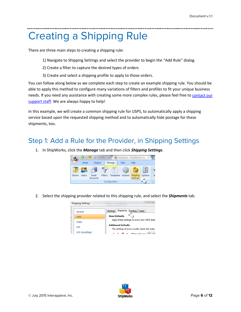# <span id="page-5-0"></span>Creating a Shipping Rule

There are three main steps to creating a shipping rule:

- 1) Navigate to Shipping Settings and select the provider to begin the "Add Rule" dialog.
- 2) Create a filter to capture the desired types of orders
- 3) Create and select a shipping profile to apply to those orders.

You can follow along below as we complete each step to create an example shipping rule. You should be able to apply this method to configure many variations of filters and profiles to fit your unique business needs. If you need any assistance with creating some more complex rules, please feel free t[o contact our](http://support.shipworks.com/support/home)  [support staff.](http://support.shipworks.com/support/home) We are always happy to help!

In this example, we will create a common shipping rule for USPS, to automatically apply a shipping service based upon the requested shipping method and to automatically hide postage for these shipments, too.

#### <span id="page-5-1"></span>Step 1: Add a Rule for the Provider, in Shipping Settings

1. In ShipWorks, click the *Manage* tab and then click *Shipping Settings*.  $0 - 11 - 12$ Output Home Help Manage View  $\widetilde{\xi_{\mathsf{C}}}$ Fmail Stores **I** kers Filters Templates Actions Shipping Options **Accounts** Settings

Configuration

2. Select the shipping provider related to this shipping rule, and select the *Shipments* tab.



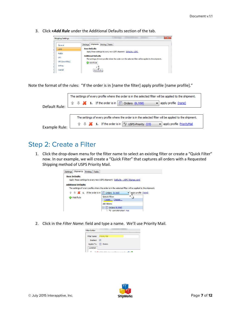3. Click *+Add Rule* under the Additional Defaults section of the tab.

| General         | Shipments<br>Printing Tasks<br>Settings                                                                                                |
|-----------------|----------------------------------------------------------------------------------------------------------------------------------------|
| <b>USPS</b>     | <b>Base Defaults</b>                                                                                                                   |
| FedEx           | Apply these settings to every new USPS shipment: Defaults - USPS                                                                       |
| <b>UPS</b>      | <b>Additional Defaults</b><br>The settings of every profile where the order is in the selected filter will be applied to the shipment. |
| UPS (WorldShip) | Add Rule                                                                                                                               |
| OnTrac          |                                                                                                                                        |

Note the format of the rules: "If the order is in [name the filter] apply profile [name profile]."

|               | The settings of every profile where the order is in the selected filter will be applied to the shipment.           |
|---------------|--------------------------------------------------------------------------------------------------------------------|
| Default Rule: | $\mathbb{R}$ <b>W</b> 1. If the order is in $\boxed{3}$ Orders (6,558)<br>apply profile (none)                     |
|               |                                                                                                                    |
|               | The settings of every profile where the order is in the selected filter will be applied to the shipment.           |
| Example Rule: | $\mathbb{R} \oplus \mathbb{X}$ 1. If the order is in $\mathbb{R}$ USPS-Priority (23)<br>apply profile PriorityMail |

#### <span id="page-6-0"></span>Step 2: Create a Filter

1. Click the drop-down menu for the filter name to select an existing filter or create a "Quick Filter" now. In our example, we will create a "Quick Filter" that captures all orders with a Requested Shipping method of USPS Priority Mail.



- 2. Click in the *Filter Name*: field and type a name. We'll use Priority Mail.
	- **Filter Editor** Filter Name: Priority Mail Enabled: V Applies To: **E** Orders Condition 1999 TEAL of the following conditions are mat until A

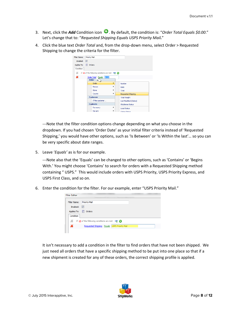- 3. Next, click the *Add* Condition icon  $\bullet$ . By default, the condition is: "Order Total Equals \$0.00." Let's change that to: "*Requested Shipping Equals USPS Priority Mail.*"
- 4. Click the blue text *Order Total* and, from the drop-down menu, select Order > Requested Shipping to change the criteria for the filter.



---Note that the filter condition options change depending on what you choose in the dropdown. If you had chosen 'Order Date' as your initial filter criteria instead of 'Requested Shipping,' you would have other options, such as 'Is Between' or 'Is Within the last'… so you can be very specific about date ranges.

5. Leave '*Equals'* as is for our example.

---Note also that the 'Equals' can be changed to other options, such as 'Contains' or 'Begins With.' You might choose 'Contains' to search for orders with a Requested Shipping method containing " USPS." This would include orders with USPS Priority, USPS Priority Express, and USPS First Class, and so on.

6. Enter the condition for the filter. For our example, enter "USPS Priority Mail."

| <b>Priority Mail</b>    |             |                                                                                             |                                              |
|-------------------------|-------------|---------------------------------------------------------------------------------------------|----------------------------------------------|
| $\overline{\mathbf{v}}$ |             |                                                                                             |                                              |
| Orders                  |             |                                                                                             |                                              |
|                         |             |                                                                                             |                                              |
|                         |             |                                                                                             |                                              |
|                         |             |                                                                                             |                                              |
|                         | Applies To: | If $\underline{\mathsf{All}}$ of the following conditions are met $\mathbb{R}^n$ $\bigodot$ | Requested Shipping Equals USPS Priority Mail |

It isn't necessary to add a condition in the filter to find orders that have not been shipped. We just need all orders that have a specific shipping method to be put into one place so that if a new shipment is created for any of these orders, the correct shipping profile is applied.

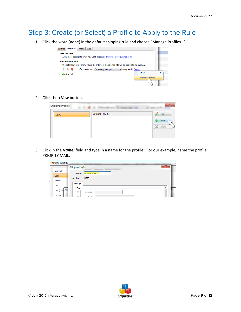#### <span id="page-8-0"></span>Step 3: Create (or Select) a Profile to Apply to the Rule

1. Click the word (none) in the default shipping rule and choose "Manage Profiles…"

| Shipments<br>Printing<br>Tasks<br><b>Settings</b>                                                                                      |                           |
|----------------------------------------------------------------------------------------------------------------------------------------|---------------------------|
| <b>Base Defaults</b><br>Apply these settings to every new USPS shipment: Defaults - USPS (Stamps.com)                                  |                           |
| <b>Additional Defaults</b><br>The settings of every profile where the order is in the selected filter will be applied to the shipment. |                           |
| $\mathbb{R}$ $\mathbb{R}$ <b>1.</b> If the order is in $\mathbb{R}$ Priority Mail (23)<br>apply profile (none)<br>Add Rule             | Select<br>Manage Profiles |
|                                                                                                                                        |                           |

2. Click the *+New* button.

 $\mathbf{r}$ 



3. Click in the *Name:* field and type in a name for the profile. For our example, name the profile PRIORITY MAIL.

| <b>Shipping Settings</b> |                         |                     |                          |              |
|--------------------------|-------------------------|---------------------|--------------------------|--------------|
|                          | <b>Shipping Profile</b> |                     |                          | $\mathbf{x}$ |
| General                  |                         | Name: PRIORITY MAIL |                          |              |
| <b>USPS</b>              | Applies to: USPS        |                     |                          |              |
| FedEx                    |                         |                     |                          |              |
| <b>UPS</b>               | Settings                |                     |                          | nmer         |
| Shi<br>UPS (Wor          | From<br>$\Box$          | Account:            | $\overline{\phantom{a}}$ | A<br>п       |
| OnTrac                   | $\equiv$                | Origin*             |                          |              |

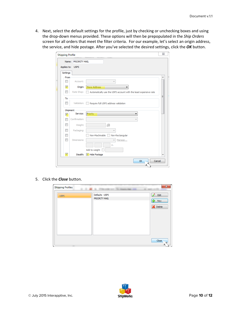4. Next, select the default settings for the profile, just by checking or unchecking boxes and using the drop-down menus provided. These options will then be prepopulated in the *Ship Orders* screen for all orders that meet the filter criteria. For our example, let's select an origin address, the service, and hide postage. After you've selected the desired settings, click the *OK* button.

| <b>Shipping Profile</b>  |               |                                                                  | $\Sigma$ |
|--------------------------|---------------|------------------------------------------------------------------|----------|
| Name:                    | PRIORITY MAIL |                                                                  |          |
| Applies to:              | <b>USPS</b>   |                                                                  |          |
| Settings                 |               |                                                                  |          |
| From                     |               |                                                                  |          |
| П                        | Account:      |                                                                  |          |
| V                        | Origin:       | <b>Store Address</b>                                             |          |
| П                        | Rate Shop:    | Automatically use the USPS account with the least expensive rate |          |
| To                       |               |                                                                  | Ξ        |
|                          | Validation:   | Require full USPS address validation                             |          |
| Shipment                 |               |                                                                  |          |
| ⊽                        | Service:      | Priority<br>▼                                                    |          |
| П                        | Confirmation: |                                                                  |          |
| $\Box$                   | Weight:       | ß                                                                |          |
| П                        | Packaging:    |                                                                  |          |
| П                        |               | Non-Machinable<br>Non-Rectangular                                |          |
| $\overline{\phantom{a}}$ | Dimensions:   | Manage                                                           |          |
|                          |               | in.                                                              |          |
|                          |               | Add to weight                                                    |          |
| V                        | Stealth:      | V Hide Postage                                                   |          |
|                          |               | Cancel<br>OK                                                     |          |

5. Click the *Close* button.



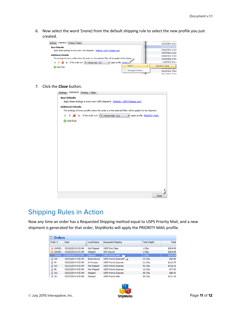6. Now select the word '(none) from the default shipping rule to select the new profile you just created.



#### 7. Click the *Close* button.

| Settings Shipments<br>Printing Tasks                                                                                  |  |
|-----------------------------------------------------------------------------------------------------------------------|--|
| <b>Base Defaults</b>                                                                                                  |  |
| Apply these settings to every new USPS shipment: Defaults - USPS (Stamps.com)                                         |  |
| <b>Additional Defaults</b>                                                                                            |  |
| The settings of every profile where the order is in the selected filter will be applied to the shipment.              |  |
| $\mathbb{R}$ $\mathbb{R}$ <b>1.</b> If the order is in $\mathbb{R}$ Priority Mail (23)<br>apply profile PRIORITY MAIL |  |
| Add Rule                                                                                                              |  |
|                                                                                                                       |  |
|                                                                                                                       |  |
|                                                                                                                       |  |
|                                                                                                                       |  |
|                                                                                                                       |  |
|                                                                                                                       |  |
|                                                                                                                       |  |
|                                                                                                                       |  |
|                                                                                                                       |  |
|                                                                                                                       |  |
|                                                                                                                       |  |
|                                                                                                                       |  |
|                                                                                                                       |  |
|                                                                                                                       |  |
|                                                                                                                       |  |
| Close                                                                                                                 |  |
|                                                                                                                       |  |

#### <span id="page-10-0"></span>Shipping Rules in Action

Now any time an order has a Requested Shipping method equal to USPS Priority Mail, and a new shipment is generated for that order, ShipWorks will apply the PRIORITY MAIL profile.

|                    | <b>D</b> Orders    |                     |                              |                     |          |  |
|--------------------|--------------------|---------------------|------------------------------|---------------------|----------|--|
| Order #            | <b>Date</b>        | <b>Local Status</b> | Requested Shipping           | <b>Total Weight</b> | Total    |  |
|                    |                    |                     |                              |                     |          |  |
| m 100000           | 03/19/2015 8:52 AM | Not Shipped         | <b>USPS First Class</b>      | $1.0$ lbs           | \$304.99 |  |
| 100000<br>匍        | 03/19/2015 8:51 AM | Shipped             | <b>UPS Ground</b>            | $1.0$ lbs           | \$304.99 |  |
| 100000             | 03/18/2015 3:37 PM | Shipped             | <b>USPS Priority Mail</b>    | $1.0$ lbs           | \$304.99 |  |
| $\frac{1}{24}$ 105 | 05/23/2014 4:55 AM | Backordered         | USPS Priority Express        | 24.0 lbs            | \$40.86  |  |
| $\sqrt{2}$ 99      | 05/23/2014 4:55 AM | In Process          | <b>USPS Priority Express</b> | 21.0 lbs            | \$112.79 |  |
| 103                | 05/23/2014 4:55 AM | Not Shipped         | <b>USPS Priority Express</b> | 45.0 lbs            | \$118.16 |  |
| $\sqrt{2}$ 98      | 05/23/2014 4:55 AM | Not Shipped         | <b>USPS Priority Express</b> | $15.0$ lbs          | \$77.00  |  |
| $\frac{1}{24}$ 102 | 05/23/2014 4:55 AM | Shipped             | <b>USPS Priority Express</b> | 38.0 lbs            | \$48.42  |  |
| $\frac{1}{2}$ 101  | 05/23/2014 4:55 AM | Shipped             | <b>USPS Priority Mail</b>    | 58.0 lbs            | \$151.16 |  |